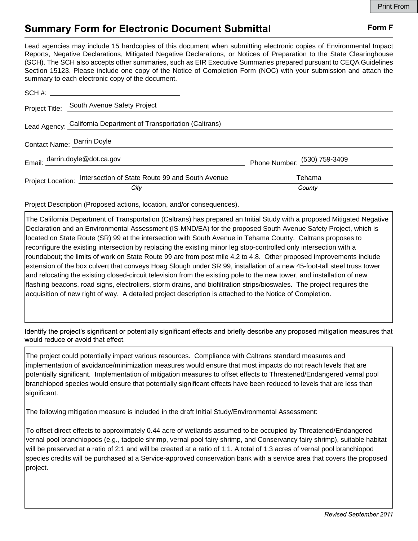## Form F

## **Summary Form for Electronic Document Submittal**

Lead agencies may include 15 hardcopies of this document when submitting electronic copies of Environmental Impact Reports, Negative Declarations, Mitigated Negative Declarations, or Notices of Preparation to the State Clearinghouse (SCH). The SCH also accepts other summaries, such as EIR Executive Summaries prepared pursuant to CEQA Guidelines Section 15123. Please include one copy of the Notice of Completion Form (NOC) with your submission and attach the summary to each electronic copy of the document.

|                            | Project Title: South Avenue Safety Project                        |                              |
|----------------------------|-------------------------------------------------------------------|------------------------------|
|                            | Lead Agency: California Department of Transportation (Caltrans)   |                              |
| Contact Name: Darrin Doyle |                                                                   |                              |
|                            | Email: darrin.doyle@dot.ca.gov                                    | Phone Number: (530) 759-3409 |
|                            | Project Location: Intersection of State Route 99 and South Avenue | Tehama                       |
|                            | City                                                              | County                       |

Project Description (Proposed actions, location, and/or consequences).

The California Department of Transportation (Caltrans) has prepared an Initial Study with a proposed Mitigated Negative Declaration and an Environmental Assessment (IS-MND/EA) for the proposed South Avenue Safety Project, which is located on State Route (SR) 99 at the intersection with South Avenue in Tehama County. Caltrans proposes to reconfigure the existing intersection by replacing the existing minor leg stop-controlled only intersection with a roundabout; the limits of work on State Route 99 are from post mile 4.2 to 4.8. Other proposed improvements include extension of the box culvert that conveys Hoag Slough under SR 99, installation of a new 45-foot-tall steel truss tower and relocating the existing closed-circuit television from the existing pole to the new tower, and installation of new flashing beacons, road signs, electroliers, storm drains, and biofiltration strips/bioswales. The project requires the acquisition of new right of way. A detailed project description is attached to the Notice of Completion.

Identify the project's significant or potentially significant effects and briefly describe any proposed mitigation measures that would reduce or avoid that effect.

The project could potentially impact various resources. Compliance with Caltrans standard measures and implementation of avoidance/minimization measures would ensure that most impacts do not reach levels that are potentially significant. Implementation of mitigation measures to offset effects to Threatened/Endangered vernal pool branchiopod species would ensure that potentially significant effects have been reduced to levels that are less than significant.

The following mitigation measure is included in the draft Initial Study/Environmental Assessment:

To offset direct effects to approximately 0.44 acre of wetlands assumed to be occupied by Threatened/Endangered vernal pool branchiopods (e.g., tadpole shrimp, vernal pool fairy shrimp, and Conservancy fairy shrimp), suitable habitat will be preserved at a ratio of 2:1 and will be created at a ratio of 1:1. A total of 1.3 acres of vernal pool branchiopod species credits will be purchased at a Service-approved conservation bank with a service area that covers the proposed project.